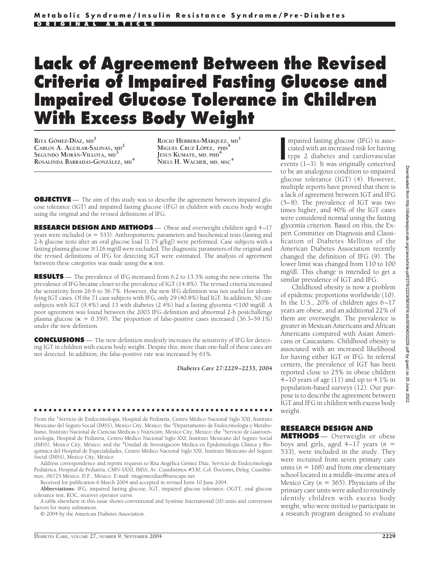# **Lack of Agreement Between the Revised Criteria of Impaired Fasting Glucose and Impaired Glucose Tolerance in Children With Excess Body Weight**

**RITA GÓMEZ-DÍAZ**, MD<sup>1</sup> **CARLOS A. AGUILAR-SALINAS, MD<sup>2</sup> SEGUNDO MORAN´ -VILLOTA, MD<sup>3</sup> ROSALINDA BARRADAS-GONZALEZ ´ , MD<sup>4</sup>**

**ROCIO HERRERA-M´ARQUEZ, MD<sup>1</sup> MIGUEL CRUZ L´OPEZ, PHD<sup>4</sup> JESUS KUMATE, MD, PHD<sup>4</sup> NIELS H. WACHER, MD, MSC<sup>4</sup>**

**OBJECTIVE** — The aim of this study was to describe the agreement between impaired glucose tolerance (IGT) and impaired fasting glucose (IFG) in children with excess body weight using the original and the revised definitions of IFG.

**RESEARCH DESIGN AND METHODS** — Obese and overweight children aged 4–17 years were included (*n* 533). Anthropometric parameters and biochemical tests (fasting and 2-h glucose tests after an oral glucose load [1.75 g/kg]) were performed. Case subjects with a fasting plasma glucose  $\geq$  126 mg/dl were excluded. The diagnostic parameters of the original and the revised definitions of IFG for detecting IGT were estimated. The analysis of agreement between these categories was made using the  $\kappa$  test.

**RESULTS** — The prevalence of IFG increased from 6.2 to 13.3% using the new criteria. The prevalence of IFG became closer to the prevalence of IGT (14.8%). The revised criteria increased the sensitivity from 26.6 to 36.7%. However, the new IFG definition was not useful for identifying IGT cases. Of the 71 case subjects with IFG, only 29 (40.8%) had IGT. In addition, 50 case subjects with IGT (9.4%) and 13 with diabetes (2.4%) had a fasting glycemia <100 mg/dl. A poor agreement was found between the 2003 IFG definition and abnormal 2-h postchallenge plasma glucose ( $\kappa = 0.359$ ). The proportion of false-positive cases increased (36.3–59.1%) under the new definition.

**CONCLUSIONS** — The new definition modestly increases the sensitivity of IFG for detecting IGT in children with excess body weight. Despite this, more than one-half of these cases are not detected. In addition, the false-positive rate was increased by 61%.

*Diabetes Care* **27:2229–2233, 2004**

From the <sup>1</sup>Servicio de Endocrinología, Hospital de Pediatría, Centro Médico Nacional Siglo XXI, Instituto Mexicano del Seguro Social (IMSS), Mexico City, México; the <sup>2</sup>Departamento de Endocrinología y Metabolismo, Instituto Nacional de Ciencias Médicas y Nutrición, Mexico City, Mexico; the <sup>3</sup>Servicio de Gastroenterología, Hospital de Pediatría, Centro Médico Nacional Siglo XXI, Instituto Mexicano del Seguro Social (IMSS), Mexico City, México; and the <sup>4</sup>Unidad de Investigación Médica en Epidemiología Clínica y Bioquímica del Hospital de Especialidades, Centro Médico Nacional Siglo XXI, Instituto Mexicano del Seguro Social (IMSS), Mexico City, México.

●●●●●●●●●●●●●●●●●●●●●●●●●●●●●●●●●●●●●●●●●●●●●●●●●

Address correspondence and reprint requests to Rita Angélica Gómez Díaz, Servicio de Endocrinología Pediátrica, Hospital de Pediatría, CMN-SXXI, IMSS, Av. Cuauhtémoc #330, Col. Doctores, Deleg. Cuauhtémoc, 06725 México, D.F., México. E-mail: ritagomezdiaz@netscape.net.

Received for publication 6 March 2004 and accepted in revised form 10 June 2004.

**Abbreviations:** IFG, impaired fasting glucose; IGT, impaired glucose tolerance; OGTT, oral glucose tolerance test; ROC, receiver operator curve.

A table elsewhere in this issue shows conventional and Système International (SI) units and conversion factors for many substances.

© 2004 by the American Diabetes Association.

mpaired fasting glucose (IFG) is associated with an increased risk for having type 2 diabetes and cardiovascular events (1–3). It was originally conceived mpaired fasting glucose (IFG) is associated with an increased risk for having type 2 diabetes and cardiovascular to be an analogous condition to impaired glucose tolerance (IGT) (4). However, multiple reports have proved that there is a lack of agreement between IGT and IFG (5–8). The prevalence of IGT was two times higher, and 40% of the IGT cases were considered normal using the fasting glycemia criterion. Based on this, the Expert Committee on Diagnosis and Classification of Diabetes Mellitus of the American Diabetes Association recently changed the definition of IFG (9). The lower limit was changed from 110 to 100 mg/dl. This change is intended to get a similar prevalence of IGT and IFG.

Childhood obesity is now a problem of epidemic proportions worldwide (10). In the U.S., 20% of children ages 6–17 years are obese, and an additional 22% of them are overweight. The prevalence is greater in Mexican Americans and African Americans compared with Asian Americans or Caucasians. Childhood obesity is associated with an increased likelihood for having either IGT or IFG. In referral centers, the prevalence of IGT has been reported close to 25% in obese children 4–10 years of age (11) and up to 4.1% in population-based surveys (12). Our purpose is to describe the agreement between IGT and IFG in children with excess body weight.

### **RESEARCH DESIGN AND**

**METHODS** — Overweight or obese boys and girls, aged  $4-17$  years ( $n =$ 533), were included in the study. They were recruited from seven primary care units ( $n = 168$ ) and from one elementary school located in a middle-income area of Mexico City ( $n = 365$ ). Physicians of the primary care units were asked to routinely identify children with excess body weight, who were invited to participate in a research program designed to evaluate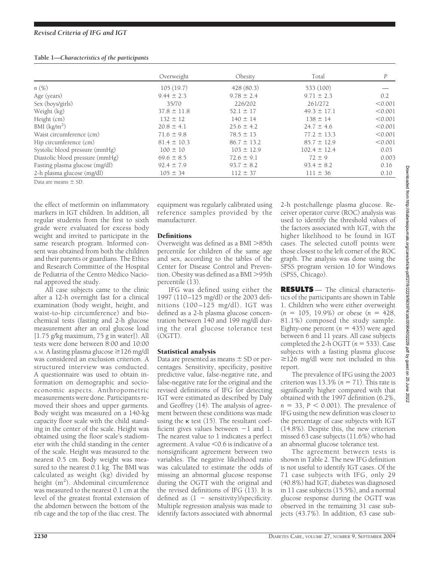| Table 1-Characteristics of the participants |  |
|---------------------------------------------|--|
|                                             |  |

|                                 | Overweight      | Obesity         | Total            | $\boldsymbol{P}$ |
|---------------------------------|-----------------|-----------------|------------------|------------------|
| $n(\%)$                         | 105(19.7)       | 428 (80.3)      | 533 (100)        |                  |
| Age (years)                     | $9.44 \pm 2.3$  | $9.78 \pm 2.4$  | $9.71 \pm 2.3$   | 0.2              |
| Sex (boys/girls)                | 35/70           | 226/202         | 261/272          | < 0.001          |
| Weight (kg)                     | $37.8 \pm 11.8$ | $52.1 \pm 17$   | $49.3 \pm 17.1$  | < 0.001          |
| Height (cm)                     | $132 \pm 12$    | $140 \pm 14$    | $138 \pm 14$     | < 0.001          |
| BMI $(kg/m2)$                   | $20.8 \pm 4.1$  | $25.6 \pm 4.2$  | $24.7 \pm 4.6$   | < 0.001          |
| Waist circumference (cm)        | $71.6 \pm 9.8$  | $78.5 \pm 13$   | $77.2 \pm 13.3$  | < 0.001          |
| Hip circumference (cm)          | $81.4 \pm 10.3$ | $86.7 \pm 13.2$ | $85.7 \pm 12.9$  | < 0.001          |
| Systolic blood pressure (mmHg)  | $100 \pm 10$    | $103 \pm 12.9$  | $102.4 \pm 12.4$ | 0.03             |
| Diastolic blood pressure (mmHg) | $69.6 \pm 8.5$  | $72.6 \pm 9.1$  | $72 \pm 9$       | 0.003            |
| Fasting plasma glucose (mg/dl)  | $92.4 \pm 7.9$  | $93.7 \pm 8.2$  | $93.4 \pm 8.2$   | 0.16             |
| 2-h plasma glucose (mg/dl)      | $105 \pm 34$    | $112 \pm 37$    | $111 \pm 36$     | 0.10             |

Data are means  $\pm$  SD.

the effect of metformin on inflammatory markers in IGT children. In addition, all regular students from the first to sixth grade were evaluated for excess body weight and invited to participate in the same research program. Informed consent was obtained from both the children and their parents or guardians. The Ethics and Research Committee of the Hospital de Pediatria of the Centro Médico Nacional approved the study.

All case subjects came to the clinic after a 12-h overnight fast for a clinical examination (body weight, height, and waist-to-hip circumference) and biochemical tests (fasting and 2-h glucose measurement after an oral glucose load [1.75 g/kg maximum, 75 g in water]). All tests were done between 8:00 and 10:00 A.M. A fasting plasma glucose ≥126 mg/dl was considered an exclusion criterion. A structured interview was conducted. A questionnaire was used to obtain information on demographic and socioeconomic aspects. Anthropometric measurements were done. Participants removed their shoes and upper garments. Body weight was measured on a 140-kg capacity floor scale with the child standing in the center of the scale. Height was obtained using the floor scale's stadiometer with the child standing in the center of the scale. Height was measured to the nearest 0.5 cm. Body weight was measured to the nearest 0.1 kg. The BMI was calculated as weight (kg) divided by height (m<sup>2</sup>). Abdominal circumference was measured to the nearest 0.1 cm at the level of the greatest frontal extension of the abdomen between the bottom of the rib cage and the top of the iliac crest. The

equipment was regularly calibrated using reference samples provided by the manufacturer.

## Definitions

Overweight was defined as a  $BMI > 85th$ percentile for children of the same age and sex, according to the tables of the Center for Disease Control and Prevention. Obesity was defined as a BMI $>$ 95th percentile (13).

IFG was defined using either the 1997 (110–125 mg/dl) or the 2003 definitions (100 –125 mg/dl). IGT was defined as a 2-h plasma glucose concentration between 140 and 199 mg/dl during the oral glucose tolerance test (OGTT).

# Statistical analysis

Data are presented as means  $\pm$  SD or percentages. Sensitivity, specificity, positive predictive value, false-negative rate, and false-negative rate for the original and the revised definitions of IFG for detecting IGT were estimated as described by Daly and Geoffrey (14). The analysis of agreement between these conditions was made using the  $\kappa$  test (15). The resultant coefficient gives values between  $-1$  and 1. The nearest value to 1 indicates a perfect agreement. A value  $\leq 0.6$  is indicative of a nonsignificant agreement between two variables. The negative likelihood ratio was calculated to estimate the odds of missing an abnormal glucose response during the OGTT with the original and the revised definitions of IFG (13). It is defined as  $(1 -$  sensitivity)/specificity. Multiple regression analysis was made to identify factors associated with abnormal

2-h postchallenge plasma glucose. Receiver operator curve (ROC) analysis was used to identify the threshold values of the factors associated with IGT, with the higher likelihood to be found in IGT cases. The selected cutoff points were those closest to the left corner of the ROC graph. The analysis was done using the SPSS program version 10 for Windows (SPSS, Chicago).

**RESULTS** — The clinical characteristics of the participants are shown in Table 1. Children who were either overweight  $(n = 105, 19.9\%)$  or obese  $(n = 428,$ 81.1%) composed the study sample. Eighty-one percent  $(n = 435)$  were aged between 6 and 11 years. All case subjects completed the 2-h OGTT  $(n = 533)$ . Case subjects with a fasting plasma glucose  $\geq$ 126 mg/dl were not included in this report.

The prevalence of IFG using the 2003 criterion was  $13.3\%$  ( $n = 71$ ). This rate is significantly higher compared with that obtained with the 1997 definition (6.2%,  $n = 33$ ,  $P < 0.001$ ). The prevalence of IFG using the new definition was closer to the percentage of case subjects with IGT (14.8%). Despite this, the new criterion missed 63 case subjects (11.6%) who had an abnormal glucose tolerance test.

The agreement between tests is shown in Table 2. The new IFG definition is not useful to identify IGT cases. Of the 71 case subjects with IFG, only 29 (40.8%) had IGT; diabetes was diagnosed in 11 case subjects (15.5%), and a normal glucose response during the OGTT was observed in the remaining 31 case subjects (43.7%). In addition, 63 case sub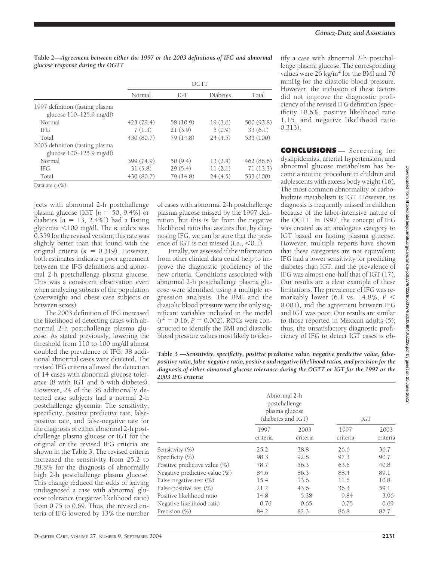**Table 2—***Agreement between either the 1997 or the 2003 definitions of IFG and abnormal glucose response during the OGTT*

|                                                               | OGTT       |           |          |            |
|---------------------------------------------------------------|------------|-----------|----------|------------|
|                                                               | Normal     | IGT       | Diabetes | Total      |
| 1997 definition (fasting plasma<br>glucose $110-125.9$ mg/dl) |            |           |          |            |
| Normal                                                        | 423 (79.4) | 58 (10.9) | 19(3.6)  | 500 (93.8) |
| IFG                                                           | 7(1.3)     | 21(3.9)   | 5(0.9)   | 33(6.1)    |
| Total                                                         | 430 (80.7) | 79(14.8)  | 24(4.5)  | 533 (100)  |
| 2003 definition (fasting plasma<br>glucose 100–125.9 mg/dl)   |            |           |          |            |
| Normal                                                        | 399 (74.9) | 50(9.4)   | 13(2.4)  | 462(86.6)  |
| <b>IFG</b>                                                    | 31(5.8)    | 29(5.4)   | 11(2.1)  | 71(13.3)   |
| Total                                                         | 430 (80.7) | 79(14.8)  | 24(4.5)  | 533 (100)  |

Data are *n* (%).

jects with abnormal 2-h postchallenge plasma glucose (IGT  $[n = 50, 9.4\%]$  or diabetes  $[n = 13, 2.4\%]$ ) had a fasting glycemia  $<$ 100 mg/dl. The  $\kappa$  index was 0.359 for the revised version; this rate was slightly better than that found with the original criteria ( $\kappa = 0.319$ ). However, both estimates indicate a poor agreement between the IFG definitions and abnormal 2-h postchallenge plasma glucose. This was a consistent observation even when analyzing subsets of the population (overweight and obese case subjects or between sexes).

The 2003 definition of IFG increased the likelihood of detecting cases with abnormal 2-h postchallenge plasma glucose. As stated previously, lowering the threshold from 110 to 100 mg/dl almost doubled the prevalence of IFG; 38 additional abnormal cases were detected. The revised IFG criteria allowed the detection of 14 cases with abnormal glucose tolerance (8 with IGT and 6 with diabetes). However, 24 of the 38 additionally detected case subjects had a normal 2-h postchallenge glycemia. The sensitivity, specificity, positive predictive rate, falsepositive rate, and false-negative rate for the diagnosis of either abnormal 2-h postchallenge plasma glucose or IGT for the original or the revised IFG criteria are shown in the Table 3. The revised criteria increased the sensitivity from 25.2 to 38.8% for the diagnosis of abnormally high 2-h postchallenge plasma glucose. This change reduced the odds of leaving undiagnosed a case with abnormal glucose tolerance (negative likelihood ratio) from 0.75 to 0.69. Thus, the revised criteria of IFG lowered by 13% the number

of cases with abnormal 2-h postchallenge plasma glucose missed by the 1997 definition, but this is far from the negative likelihood ratio that assures that, by diagnosing IFG, we can be sure that the presence of IGT is not missed (i.e.,  $< 0.1$ ).

Finally, we assessed if the information from other clinical data could help to improve the diagnostic proficiency of the new criteria. Conditions associated with abnormal 2-h postchallenge plasma glucose were identified using a multiple regression analysis. The BMI and the diastolic blood pressure were the only significant variables included in the model  $(r^2 = 0.16, P = 0.002)$ . ROCs were constructed to identify the BMI and diastolic blood pressure values most likely to identify a case with abnormal 2-h postchallenge plasma glucose. The corresponding values were  $26 \text{ kg/m}^2$  for the BMI and 70 mmHg for the diastolic blood pressure. However, the inclusion of these factors did not improve the diagnostic proficiency of the revised IFG definition (specificity 18.6%, positive likelihood ratio 1.15, and negative likelihood ratio 0.313).

**CONCLUSIONS** — Screening for dyslipidemias, arterial hypertension, and abnormal glucose metabolism has become a routine procedure in children and adolescents with excess body weight (16). The most common abnormality of carbohydrate metabolism is IGT. However, its diagnosis is frequently missed in children because of the labor-intensive nature of the OGTT. In 1997, the concept of IFG was created as an analogous category to IGT based on fasting plasma glucose. However, multiple reports have shown that these categories are not equivalent; IFG had a lower sensitivity for predicting diabetes than IGT, and the prevalence of IFG was almost one-half that of IGT (17). Our results are a clear example of these limitations. The prevalence of IFG was remarkably lower (6.1 vs. 14.8%, *P* 0.001), and the agreement between IFG and IGT was poor. Our results are similar to those reported in Mexican adults (5); thus, the unsatisfactory diagnostic proficiency of IFG to detect IGT cases is ob-

**Table 3 —***Sensitivity, specificity, positive predictive value, negative predictive value, falsepositive ratio, false-negative ratio, positive and negative likelihood ratios, and precision for the diagnosis of either abnormal glucose tolerance during the OGTT or IGT for the 1997 or the 2003 IFG criteria*

|                               | Abnormal 2-h<br>postchallenge<br>plasma glucose<br>(diabetes and IGT) |                  | <b>IGT</b>       |                  |
|-------------------------------|-----------------------------------------------------------------------|------------------|------------------|------------------|
|                               | 1997<br>criteria                                                      | 2003<br>criteria | 1997<br>criteria | 2003<br>criteria |
| Sensitivity (%)               | 25.2                                                                  | 38.8             | 26.6             | 36.7             |
| Specificity (%)               | 98.3                                                                  | 92.8             | 97.3             | 90.7             |
| Positive predictive value (%) | 78.7                                                                  | 56.3             | 63.6             | 40.8             |
| Negative predictive value (%) | 84.6                                                                  | 86.3             | 88.4             | 89.1             |
| False-negative test $(\%)$    | 15.4                                                                  | 13.6             | 11.6             | 10.8             |
| False-positive test $(\%)$    | 21.2                                                                  | 43.6             | 36.3             | 59.1             |
| Positive likelihood ratio     | 14.8                                                                  | 5.38             | 9.84             | 3.96             |
| Negative likelihood ratio     | 0.76                                                                  | 0.65             | 0.75             | 0.69             |
| Precision (%)                 | 84.2                                                                  | 82.3             | 86.8             | 82.7             |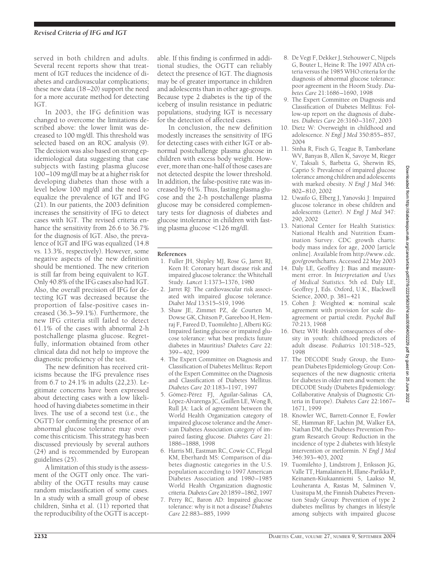served in both children and adults. Several recent reports show that treatment of IGT reduces the incidence of diabetes and cardiovascular complications; these new data (18–20) support the need for a more accurate method for detecting IGT.

In 2003, the IFG definition was changed to overcome the limitations described above: the lower limit was decreased to 100 mg/dl. This threshold was selected based on an ROC analysis (9). The decision was also based on strong epidemiological data suggesting that case subjects with fasting plasma glucose 100–109 mg/dl may be at a higher risk for developing diabetes than those with a level below 100 mg/dl and the need to equalize the prevalence of IGT and IFG (21). In our patients, the 2003 definition increases the sensitivity of IFG to detect cases with IGT. The revised criteria enhance the sensitivity from 26.6 to 36.7% for the diagnosis of IGT. Also, the prevalence of IGT and IFG was equalized (14.8 vs. 13.3%, respectively). However, some negative aspects of the new definition should be mentioned. The new criterion is still far from being equivalent to IGT. Only 40.8% of the IFG cases also had IGT. Also, the overall precision of IFG for detecting IGT was decreased because the proportion of false-positive cases increased (36.3–59.1%). Furthermore, the new IFG criteria still failed to detect 61.1% of the cases with abnormal 2-h postchallenge plasma glucose. Regretfully, information obtained from other clinical data did not help to improve the diagnostic proficiency of the test.

The new definition has received criticisms because the IFG prevalence rises from 6.7 to 24.1% in adults (22,23). Legitimate concerns have been expressed about detecting cases with a low likelihood of having diabetes sometime in their lives. The use of a second test (i.e., the OGTT) for confirming the presence of an abnormal glucose tolerance may overcome this criticism. This strategy has been discussed previously by several authors (24) and is recommended by European guidelines (25).

A limitation of this study is the assessment of the OGTT only once. The variability of the OGTT results may cause random misclassification of some cases. In a study with a small group of obese children, Sinha et al. (11) reported that the reproducibility of the OGTT is acceptable. If this finding is confirmed in additional studies, the OGTT can reliably detect the presence of IGT. The diagnosis may be of greater importance in children and adolescents than in other age-groups. Because type 2 diabetes is the tip of the iceberg of insulin resistance in pediatric populations, studying IGT is necessary for the detection of affected cases.

In conclusion, the new definition modestly increases the sensitivity of IFG for detecting cases with either IGT or abnormal postchallenge plasma glucose in children with excess body weight. However, more than one-half of those cases are not detected despite the lower threshold. In addition, the false-positive rate was increased by 61%. Thus, fasting plasma glucose and the 2-h postchallenge plasma glucose may be considered complementary tests for diagnosis of diabetes and glucose intolerance in children with fasting plasma glucose  $\leq$ 126 mg/dl.

### **References**

- 1. Fuller JH, Shipley MJ, Rose G, Jarret RJ, Keen H: Coronary heart disease risk and impaired glucose tolerance: the Whitehall Study. *Lancet* 1:1373–1376, 1980
- 2. Jarret RJ: The cardiovascular risk associated with impaired glucose tolerance. *Diabet Med* 13:S15–S19, 1996
- 3. Shaw JE, Zimmet PZ, de Courten M, Dowse GK, Chitson P, Gareeboo H, Hemraj F, Fareed D, Tuomilehto J, Alberti KG: Impaired fasting glucose or impaired glucose tolerance: what best predicts future diabetes in Mauritius? *Diabetes Care* 22: 399–402, 1999
- 4. The Expert Committee on Diagnosis and Classification of Diabetes Mellitus: Report of the Expert Committee on the Diagnosis and Classification of Diabetes Mellitus. *Diabetes Care* 20:1183–1197, 1997
- 5. Gómez-Pérez FJ, Aguilar-Salinas CA, López-Alvarenga JC, Guillen LE, Wong B, Rull JA: Lack of agreement between the World Health Organization category of impaired glucose tolerance and the American Diabetes Association category of impaired fasting glucose. *Diabetes Care* 21: 1886–1888, 1998
- 6. Harris MI, Eastman RC, Cowie CC, Flegal KM, Eberhardt MS: Comparison of diabetes diagnostic categories in the U.S. population according to 1997 American Diabetes Association and 1980 –1985 World Health Organization diagnostic criteria.*Diabetes Care* 20:1859–1862, 1997
- 7. Perry RC, Baron AD: Impaired glucose tolerance: why is it not a disease? *Diabetes Care* 22:883–885, 1999
- 8. De Vegt F, Dekker J, Stehouwer C, Nijpels G, Bouter L, Heine R: The 1997 ADA criteria versus the 1985 WHO criteria for the diagnosis of abnormal glucose tolerance: poor agreement in the Hoorn Study. *Diabetes Care* 21:1686–1690, 1998
- 9. The Expert Committee on Diagnosis and Classification of Diabetes Mellitus: Follow-up report on the diagnosis of diabetes. *Diabetes Care* 26:3160–3167, 2003
- 10. Dietz W: Overweight in childhood and adolescence. *N Engl J Med* 350:855–857, 2004
- 11. Sinha R, Fisch G, Teague B, Tamborlane WV, Banyas B, Allen K, Savoye M, Rieger V, Taksali S, Barbetta G, Sherwin RS, Caprio S: Prevalence of impaired glucose tolerance among children and adolescents with marked obesity. *N Engl J Med* 346: 802–810, 2002
- 12. Uwaifo G, Elberg J, Yanovski J: Impaired glucose tolerance in obese children and adolescents (Letter). *N Engl J Med* 347: 290, 2002
- 13. National Center for Health Statistics: National Health and Nutrition Examination Survey. CDC growth charts: body mass index for age, 2000 [article online]. Available from http://www.cdc. gov/growthcharts. Accessed 22 May 2003
- 14. Daly LE, Geoffrey J: Bias and measurement error. In *Interpretation and Uses of Medical Statistics*. 5th ed. Daly LE, Geoffrey J, Eds. Oxford, U.K., Blackwell Science, 2000, p. 381–421
- 15. Cohen J: Weighted K: nominal scale agreement with provision for scale disagreement or partial credit. *Psychol Bull* 70:213, 1968
- 16. Dietz WH: Health consequences of obesity in youth: childhood predictors of adult disease. *Pediatrics* 101:518–525, 1998
- 17. The DECODE Study Group, the European Diabetes Epidemiology Group: Consequences of the new diagnostic criteria for diabetes in older men and women: the DECODE Study (Diabetes Epidemiology: Collaborative Analysis of Diagnostic Criteria in Europe). *Diabetes Care* 22:1667– 1671, 1999
- 18. Knowler WC, Barrett-Connor E, Fowler SE, Hamman RF, Lachin JM, Walker EA, Nathan DM, the Diabetes Prevention Program Research Group: Reduction in the incidence of type 2 diabetes with lifestyle intervention or metformin. *N Engl J Med* 346:393–403, 2002
- 19. Tuomilehto J, Lindstrom J, Eriksson JG, Valle TT, Hamalainen H, Illane-Parikka P, Keinanen-Kiukaanniemi S, Laakso M, Louheranta A, Rastas M, Salminen V, Uusitupa M, the Finnish Diabetes Prevention Study Group: Prevention of type 2 diabetes mellitus by changes in lifestyle among subjects with impaired glucose